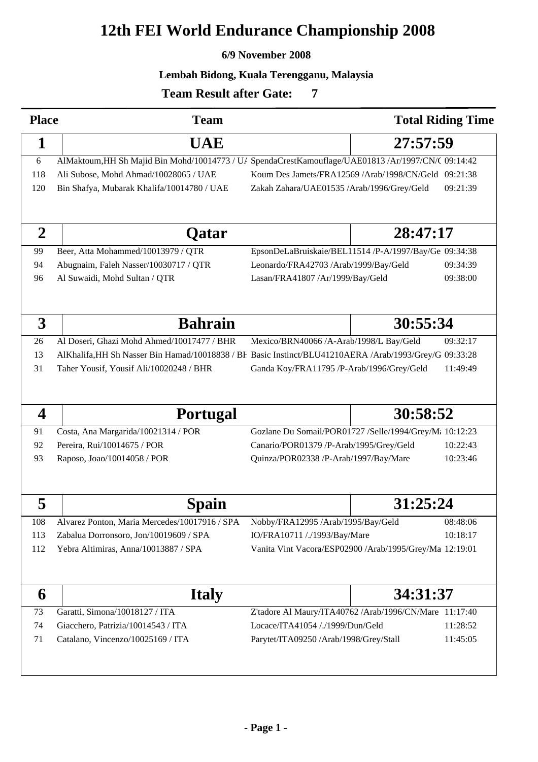# **12th FEI World Endurance Championship 2008**

#### **6/9 November 2008**

#### **Lembah Bidong, Kuala Terengganu, Malaysia**

<sup>0</sup>

## **Team Result after Gate:**

| <b>Place</b>     | <b>Team</b>                                                                                         |                                                                                                        | <b>Total Riding Time</b> |          |  |  |
|------------------|-----------------------------------------------------------------------------------------------------|--------------------------------------------------------------------------------------------------------|--------------------------|----------|--|--|
| 1                | <b>UAE</b>                                                                                          | 27:57:59                                                                                               |                          |          |  |  |
| 6                | AlMaktoum, HH Sh Majid Bin Mohd/10014773 / U/ SpendaCrestKamouflage/UAE01813 /Ar/1997/CN/( 09:14:42 |                                                                                                        |                          |          |  |  |
| 118              | Ali Subose, Mohd Ahmad/10028065 / UAE                                                               | Koum Des Jamets/FRA12569 /Arab/1998/CN/Geld 09:21:38                                                   |                          |          |  |  |
| 120              | Bin Shafya, Mubarak Khalifa/10014780 / UAE                                                          | Zakah Zahara/UAE01535 /Arab/1996/Grey/Geld                                                             |                          | 09:21:39 |  |  |
|                  |                                                                                                     |                                                                                                        |                          |          |  |  |
| $\boldsymbol{2}$ | Qatar                                                                                               |                                                                                                        | 28:47:17                 |          |  |  |
| 99               | Beer, Atta Mohammed/10013979 / QTR                                                                  | EpsonDeLaBruiskaie/BEL11514 /P-A/1997/Bay/Ge 09:34:38                                                  |                          |          |  |  |
| 94               | Abugnaim, Faleh Nasser/10030717 / QTR                                                               | Leonardo/FRA42703 /Arab/1999/Bay/Geld                                                                  |                          | 09:34:39 |  |  |
| 96               | Al Suwaidi, Mohd Sultan / QTR                                                                       | Lasan/FRA41807 /Ar/1999/Bay/Geld                                                                       |                          | 09:38:00 |  |  |
|                  |                                                                                                     |                                                                                                        |                          |          |  |  |
| 3                | <b>Bahrain</b>                                                                                      |                                                                                                        | 30:55:34                 |          |  |  |
| 26               | Al Doseri, Ghazi Mohd Ahmed/10017477 / BHR                                                          | Mexico/BRN40066 /A-Arab/1998/L Bay/Geld                                                                |                          | 09:32:17 |  |  |
| 13               |                                                                                                     | AlKhalifa, HH Sh Nasser Bin Hamad/10018838 / BF Basic Instinct/BLU41210AERA /Arab/1993/Grey/G 09:33:28 |                          |          |  |  |
| 31               | Taher Yousif, Yousif Ali/10020248 / BHR                                                             | Ganda Koy/FRA11795 /P-Arab/1996/Grey/Geld                                                              |                          | 11:49:49 |  |  |
|                  |                                                                                                     |                                                                                                        |                          |          |  |  |
| 4                | <b>Portugal</b>                                                                                     |                                                                                                        | 30:58:52                 |          |  |  |
| 91               | Costa, Ana Margarida/10021314 / POR                                                                 | Gozlane Du Somail/POR01727 /Selle/1994/Grey/M: 10:12:23                                                |                          |          |  |  |
| 92               | Pereira, Rui/10014675 / POR                                                                         | 10:22:43<br>Canario/POR01379 /P-Arab/1995/Grey/Geld                                                    |                          |          |  |  |
| 93               | Raposo, Joao/10014058 / POR                                                                         | Quinza/POR02338 /P-Arab/1997/Bay/Mare<br>10:23:46                                                      |                          |          |  |  |
|                  |                                                                                                     |                                                                                                        |                          |          |  |  |
| 5                | Spain                                                                                               |                                                                                                        | 31:25:24                 |          |  |  |
| 108              | Alvarez Ponton, Maria Mercedes/10017916 / SPA                                                       | Nobby/FRA12995 /Arab/1995/Bay/Geld                                                                     |                          | 08:48:06 |  |  |
| 113              | Zabalua Dorronsoro, Jon/10019609 / SPA                                                              | IO/FRA10711 /./1993/Bay/Mare                                                                           |                          | 10:18:17 |  |  |
| 112              | Yebra Altimiras, Anna/10013887 / SPA                                                                | Vanita Vint Vacora/ESP02900 /Arab/1995/Grey/Ma 12:19:01                                                |                          |          |  |  |
|                  |                                                                                                     |                                                                                                        |                          |          |  |  |
| 6                | <b>Italy</b>                                                                                        |                                                                                                        |                          | 34:31:37 |  |  |
| 73               | Garatti, Simona/10018127 / ITA                                                                      | Z'tadore Al Maury/ITA40762 /Arab/1996/CN/Mare 11:17:40                                                 |                          |          |  |  |
| 74               | Giacchero, Patrizia/10014543 / ITA                                                                  | Locace/ITA41054 /./1999/Dun/Geld                                                                       |                          | 11:28:52 |  |  |
| 71               | Catalano, Vincenzo/10025169 / ITA                                                                   | Parytet/ITA09250 /Arab/1998/Grey/Stall                                                                 |                          | 11:45:05 |  |  |
|                  |                                                                                                     |                                                                                                        |                          |          |  |  |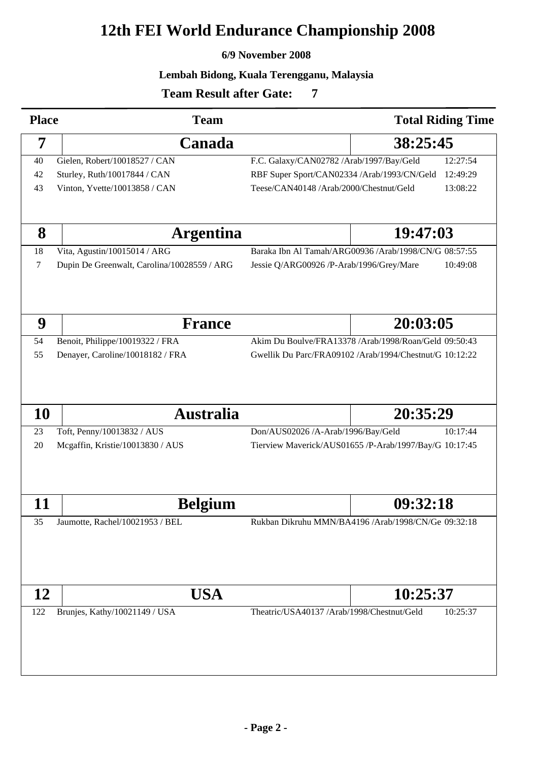# **12th FEI World Endurance Championship 2008**

#### **6/9 November 2008**

#### **Lembah Bidong, Kuala Terengganu, Malaysia**

<sup>0</sup>

### **Team Result after Gate:**

| <b>Place</b>                         | <b>Team</b>                                 | <b>Total Riding Time</b>                                |  |
|--------------------------------------|---------------------------------------------|---------------------------------------------------------|--|
| 7                                    | Canada                                      | 38:25:45                                                |  |
| 40                                   | Gielen, Robert/10018527 / CAN               | F.C. Galaxy/CAN02782 /Arab/1997/Bay/Geld<br>12:27:54    |  |
| 42                                   | Sturley, Ruth/10017844 / CAN                | RBF Super Sport/CAN02334 /Arab/1993/CN/Geld<br>12:49:29 |  |
| 43                                   | Vinton, Yvette/10013858 / CAN               | Teese/CAN40148 /Arab/2000/Chestnut/Geld<br>13:08:22     |  |
|                                      |                                             |                                                         |  |
| 8                                    | <b>Argentina</b>                            | 19:47:03                                                |  |
| 18                                   | Vita, Agustin/10015014 / ARG                | Baraka Ibn Al Tamah/ARG00936 /Arab/1998/CN/G 08:57:55   |  |
| 7                                    | Dupin De Greenwalt, Carolina/10028559 / ARG | 10:49:08<br>Jessie Q/ARG00926 /P-Arab/1996/Grey/Mare    |  |
| 9                                    | <b>France</b>                               | 20:03:05                                                |  |
| 54                                   | Benoit, Philippe/10019322 / FRA             | Akim Du Boulve/FRA13378 /Arab/1998/Roan/Geld 09:50:43   |  |
| 55                                   |                                             | Gwellik Du Parc/FRA09102 /Arab/1994/Chestnut/G 10:12:22 |  |
|                                      | Denayer, Caroline/10018182 / FRA            |                                                         |  |
| <b>10</b>                            | <b>Australia</b>                            | 20:35:29                                                |  |
| 23                                   | Toft, Penny/10013832 / AUS                  | Don/AUS02026 /A-Arab/1996/Bay/Geld<br>10:17:44          |  |
| 20                                   | Mcgaffin, Kristie/10013830 / AUS            | Tierview Maverick/AUS01655 /P-Arab/1997/Bay/G 10:17:45  |  |
| 11                                   | <b>Belgium</b>                              | 09:32:18                                                |  |
| 35                                   | Jaumotte, Rachel/10021953 / BEL             | Rukban Dikruhu MMN/BA4196 /Arab/1998/CN/Ge 09:32:18     |  |
|                                      |                                             |                                                         |  |
| 12                                   | <b>USA</b>                                  | 10:25:37                                                |  |
| Brunjes, Kathy/10021149 / USA<br>122 |                                             | 10:25:37<br>Theatric/USA40137 /Arab/1998/Chestnut/Geld  |  |
|                                      |                                             |                                                         |  |